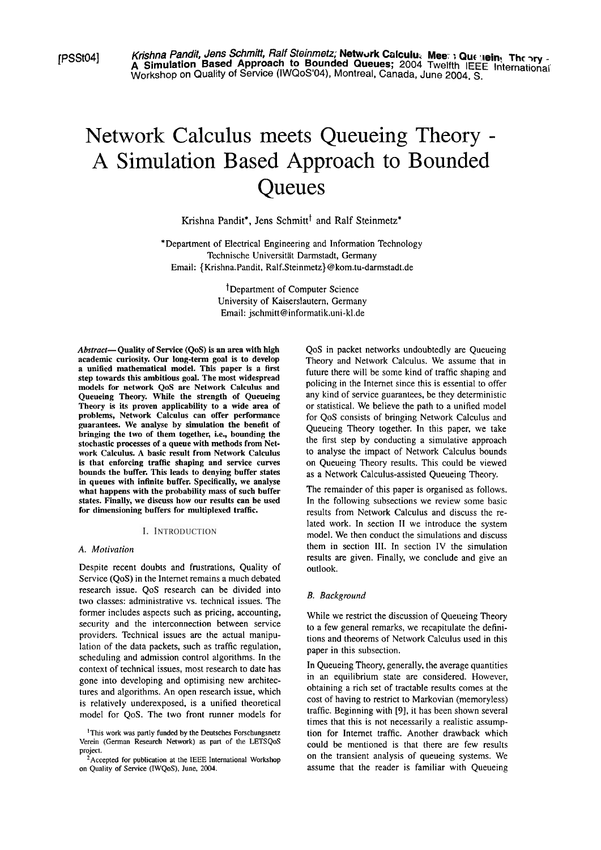**[PSSt04]** *Krishna Pandit, Jens Schmitt, Ralf Steinmetz; Network Calculu. Mee: ; Queuen, The ?ry - A Simulation Based Approach to Bounded Queues;*  $2004$  *Twelfth IEEE International* Workshop on Quality of Service (IWQoS'04), Montreal, Canada, June 2004, S.

# Network Calculus meets Queueing Theory - **A** Simulation Based Approach to Bounded **Queues**

Krishna Pandit\*, Jens Schmitt<sup>†</sup> and Ralf Steinmetz\*

\*Department of Electrical Engineering and Information Technology Technische Universität Darmstadt, Germany Email: {Krishna.Pandit, **Ralf.Steinmetz)@kom.tu-darmstadt.de** 

> <sup>†</sup>Department of Computer Science University of Kaiserslautern, Germany Email: **jschrnitt@informatik.uni-kl.de**

*Abstract-* **Quality of Service (QoS) is an area with high acadernic curiosity. Our long-term goal is to develop a unified mathematical model. This paper is a first step towards this ambitious goal. The most widespread models for network QoS are Network Calculus and Queueing Theory. While the strength of Queueing Theory b its proven appiicability to a wide area of problems, Network Calculus can offer performance yarantees. We analyse by simulation the benefit of bringing the two of them together, i.e., bounding the stochastic processes of a queue with methods from Network Calculus. A basic result from Network Calculus is that enforcing traffic shaping and service curves bounds the buffer. This leads to denying buffer states in queues with inhite buffer. Specifically, we analyse what happens with the probability mass of such buffer**  states. Finally, we discuss how our results can be used **for dimensioning buffers for multiplexed traffic.** 

### I. INTRODUCTION

### *A. Motivation*

Despite recent doubts and frustrations, Quality of Service (QoS) in the Intemet remains a much debated research issue. QoS research can be divided into two classes: administrative vs. technical issues. The former includes aspects such as pricing, accounting, security and the interconnection between service providers. Technical issues are the actual manipulation of the data packets, such as traffic regulation, scheduling and admission control algorithms. In the context of technical issues, most research to date has gone into developing and optimising new architectures and algorithms. An Open research issue, which is relatively underexposed, is a unified theoretical model for QoS. The two front runner models for

QoS in packet networks undoubtedly are Queueing Theory and Network Calculus. We assume that in future there will be some kind of traffic shaping and policing in the Internet since this is essential to offer any kind of service guarantees, be they deterministic or statistical. We believe the path to a unified model for QoS consists of bringing Network Calculus and Queueing Theory together. In this paper, we take the first step by conducting a simulative approach to analyse the impact of Network Calculus bounds on Queueing Theory results. This could be viewed as a Network Calculus-assisted Queueing Theory.

The remainder of this paper is organised as follows. In the following subsections we review some basic results from Network Calculus and discuss the related work. In section II we introduce the system model. We then conduct the simulations and discuss them in section 111. In section IV the simulation results are given. Finally, we conclude and give an outlook.

### *B. Background*

While we restrict the discussion of Queueing Theory to a few general remarks, we recapitulate the definitions and theorems of Network Calculus used in this paper in this subsection.

In Queueing Theory, generally. the average quantities in an equilibrium state are considered. However, obtaining a rich set of tractable results comes at the cost of having to restrict to Markovian (memoryless) traffic. Beginning with [9], it has been shown several times that this is not necessarily a realistic assumption for Internet traffic. Another drawback which could be mentioned is that there are few results on the transient analysis of queueing systems. We assume that the reader is familiar with Queueing

**<sup>&#</sup>x27;Tlus work was panly funded by the Deutsches Forschungsnetz Verein (German Research Network) as pari of tlie LETSQoS project.** 

<sup>&</sup>lt;sup>2</sup> Accepted for publication at the IEEE International Workshop **on Quality of Service (WQoS), June, 2004.**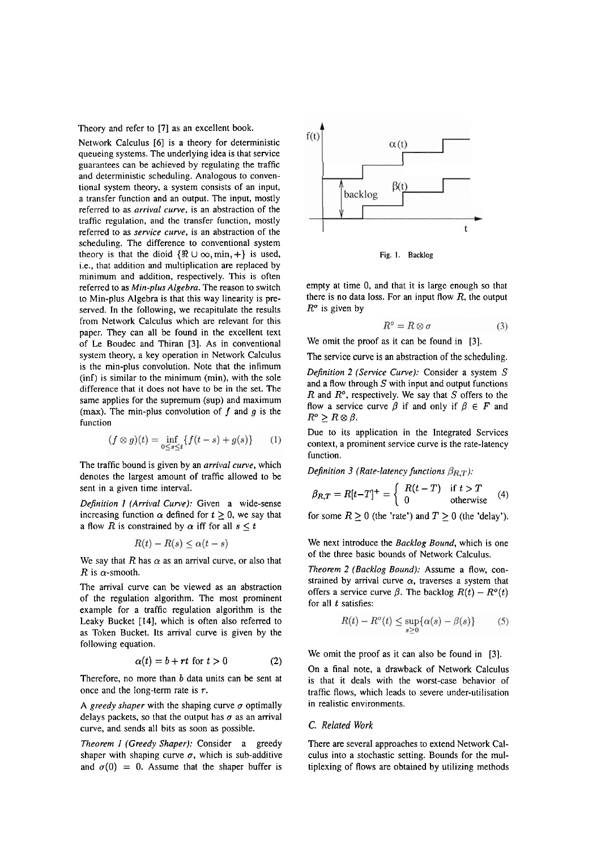Theory and refer to **[7]** as an excellent book.

Network Calculus [6] is a theory for deterministic queueing Systems. The underlying idea is that sewice guarantees can be achieved by regulating the traffic and deterministic scheduling. Analogous to conventional system theory, a system consists of an input, a transfer function and an output. The input, mostly referred to as *arrival curve,* is an abstraction of the traffic regulation, and the transfer function, mostly referred to as *service curve,* is an abstraction of the scheduling. The difference to conventional system theory is that the dioid  $\{\Re \cup \infty, \min, +\}$  is used, i.e., that addition and multiplication are replaced by minimum and addition, respectively. This is often referred to as *Min-plus Algebra.* The reason to switch to Min-plus Algebra is that this way linearity is preserved. In the following, we recapitulate the results from Network Calculus which are relevant for this paper. They can all be found in the excellent text of Le Boudec and Thiran [3]. As in conventional system theory, a key operation in Network Calculus is the min-plus convolution. Note that the infimum (inf) is similar to the minimum (min), with the sole difference that it does not have to be in the set. The same applies for the supremum (sup) and maximum (max). The min-plus convolution of  $f$  and  $g$  is the function

$$
(f \otimes g)(t) = \inf_{0 \le s \le t} \{ f(t - s) + g(s) \} \tag{1}
$$

The traffic bound is given by an *arrival curve,* which denotes the largest amount of traffic allowed to be sent in a given time interval.

*Definition I (Arrival Curve):* Given a wide-sense increasing function  $\alpha$  defined for  $t \geq 0$ , we say that a flow *R* is constrained by  $\alpha$  iff for all  $s \leq t$ 

$$
R(t) - R(s) \le \alpha(t - s)
$$

We say that  $R$  has  $\alpha$  as an arrival curve, or also that *R* is  $\alpha$ -smooth.

The arrival curve can be viewed as an abstraction of the regulation algorithm. The most prominent example for a traffic regulation algorithm is the Leaky Bucket **[14],** which is often also referred to as Token Bucket. Its arrival curve is given by the following equation.

$$
\alpha(t) = b + rt \text{ for } t > 0 \tag{2}
$$

Therefore, no more than *b* data units can be sent at once and the long-term rate is *r.* 

A *greedy shaper* with the shaping curve  $\sigma$  optimally delays packets, so that the output has  $\sigma$  as an arrival curve, and sends all bits as soon as possible.

*Theorem 1 (Greedy Shaper):* Consider a greedy shaper with shaping curve  $\sigma$ , which is sub-additive and  $\sigma(0) = 0$ . Assume that the shaper buffer is



empty at time *0,* and that it is large enough so that there is no data loss. For an input flow *R,* the output *R0* is given by

$$
R^o = R \otimes \sigma \tag{3}
$$

We omit the proof as it can be found in [3].

The service curve is an abstraction of the scheduling.

*Definition 2 (Service Curve):* Consider a system S and a flow through  $S$  with input and output functions *R* and *R*<sup>o</sup>, respectively. We say that *S* offers to the flow a service curve  $\beta$  if and only if  $\beta \in F$  and  $R^o \geq R \otimes \beta$ .

Due to its application in the Integrated Services context, a prominent service curve is the rate-latency function.

*Definition 3 (Rate-latency functions*  $\beta_{R,T}$ *):* 

$$
\beta_{R,T} = R[t-T]^+ = \begin{cases} R(t-T) & \text{if } t > T \\ 0 & \text{otherwise} \end{cases}
$$
 (4)

for some  $R \ge 0$  (the 'rate') and  $T \ge 0$  (the 'delay').

We next introduce the *Backlog Bound,* which is one of the three basic bounds of Network Calculus.

*Theorem 2 (Backlog Bound):* Assume a flow, constrained by arrival curve  $\alpha$ , traverses a system that offers a service curve  $\beta$ . The backlog  $R(t) - R<sup>o</sup>(t)$ for all *t* satisfies:

$$
R(t) - Ro(t) \le \sup_{s \ge 0} {\alpha(s) - \beta(s)}
$$
 (5)

We omit the proof as it can also be found in [3].

On a final note, a drawback of Network Calculus is that it deals with the worst-case behavior of traffic flows, which leads to severe under-utilisation in realistic environments.

## *C. Related Work*

There are several approaches to extend Network Calculus into a stochastic setting. Bounds for the multiplexing of flows are obtained by utilizing methods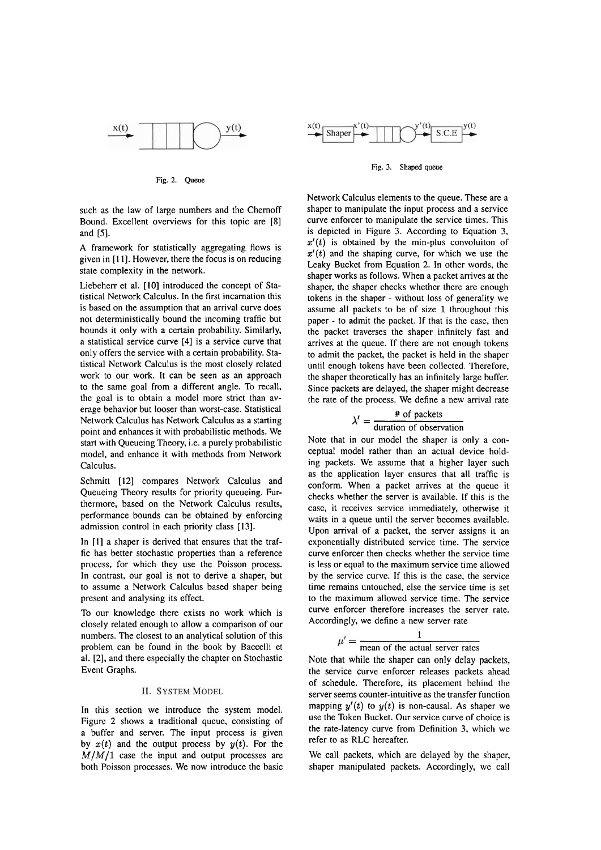

**Fig. 2. Queue** 

such as the law of large numbers and the Chernoff Bound. Excellent overviews for this topic are **[8]**  and **[5].** 

A framework for statistically aggregating flows is given in **[l 11.** However, there the focus is on reducing state complexity in the network.

Liebeherr et al. **[I01** introduced the concept of Statistical Network Calculus. In the first incarnation this is based on the assumption that an arrival curve does not deterministically bound the incoming traffic but bounds it only with a certain probability. Similarly, a statistical service curve **[4]** is a sewice curve that only offers the service with a certain probability. Statistical Network Calculus is the most closely related work to our work. It can be seen as an approach to the Same goal from a different angle. To recall, the goal is to obtain a model more strict than average behavior but looser than worst-case. Statistical Network Calculus has Network Calculus as a starting point and enhances it with probabilistic methods. We start with Queueing Theory, i.e. a purely probabilistic model, and enhance it with methods from Network Calculus.

Schmitt **[I21** compares Network Calculus and Queueing Theory results for priority queueing. Furthermore, based on the Network Calculus results. performance bounds can be obtained by enforcing admission control in each priority class **[13].** 

In **[I]** a shaper is derived that ensures that the traffic has better stochastic properties than a reference process, for which they use the Poisson process. In contrast, our goal is not to derive a shaper, but to assume a Network Calculus based shaper being present and analysing its effect.

To our knowledge there exists no work which is closely related enough to allow a comparison of our numbers. The closest to an analytical solution of this problem can be found in the book by Baccelli et al. **[2],** and there especially the chapter on Stochastic Event Graphs.

## **II. SYSTEM MODEL**

In this section we introduce the system model. Figure **2** shows a traditional queue, consisting of a buffer and server. The input process is given by  $x(t)$  and the output process by  $y(t)$ . For the *MIM11* case the input and output processes are both Poisson processes. We now introduce the basic



**Fig. 3. Shaped queue** 

Network Calculus elements to the queue. These are a shaper to manipulate the input process and a service curve enforcer to manipulate the sewice times. This is depicted in Figure 3. According to Equation 3,  $x'(t)$  is obtained by the min-plus convoluiton of  $x'(t)$  and the shaping curve, for which we use the Leaky Bucket from Equation **2.** In other words, the shaper works as follows. When a packet arrives at the shaper, the shaper checks whether there are enough tokens in the shaper - without loss of generality we assume all packets to be of size *1* throughout this paper - to adrnit the packet. If that is the case, then the packet traverses the shaper infinitely fast and arrives at the queue. If there are not enough tokens to admit the packet, the packet is held in the shaper until enough tokens have been collected. Therefore, the shaper theoretically has an infinitely large buffer. Since packets are delayed, the shaper might decrease the rate of the process. We define a new arrival rate

## $\lambda' = \frac{\text{# of packets}}{\text{duration of observation}}$

Note that in our model the shaper is only a conceptual model rather than an actual device holding packets. We assume that a higher layer such as the application layer ensures that all traffic is conforrn. When a packet arrives at the queue it checks whether the server is available. If this is the case, it receives service immediately, otherwise it waits in a queue until the server becomes available. Upon arrival of a packet, the server assigns it an exponentially distributed service time. The service curve enforcer then checks whether the service time is less or equal to the maximum sewice time allowed by the sewice curve. If this is the case, the service time remains untouched, else the service time is set to the maximum allowed service time. The service curve enforcer therefore increases the server rate. Accordingly, we define a new server rate



Note that while the shaper can only delay packets, the service curve enforcer releases packets ahead of schedule. Therefore, its placement behind the server seems counter-intuitive as the transfer function mapping  $y'(t)$  to  $y(t)$  is non-causal. As shaper we use the Token Bucket. Our service curve of choice is the rate-latency curve from Definition 3, which we refer to as RLC hereafter.

We call packets, which are delayed by the shaper, shaper manipulated packets. Accordingly, we call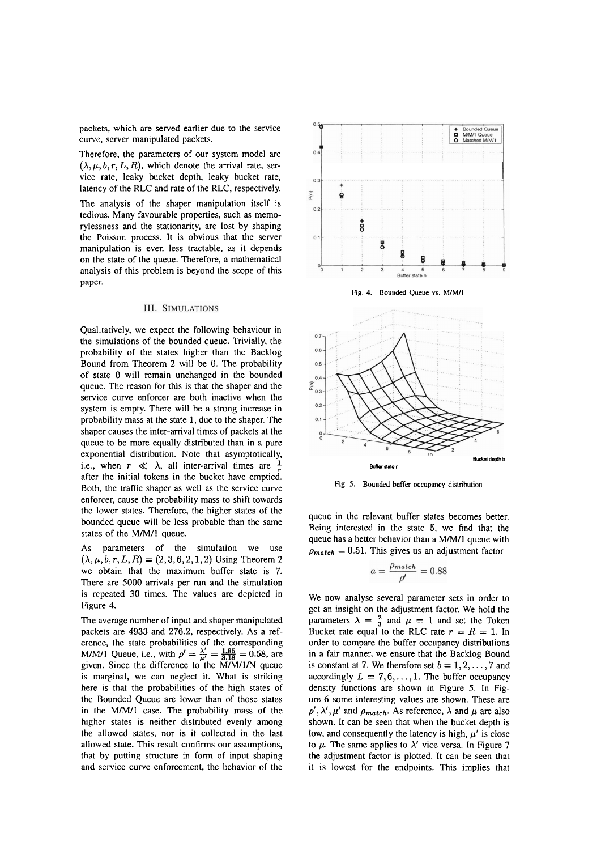packets, which are served earlier due to the service curve, server manipulated packets.

Therefore, the parameters of our system model are  $(\lambda, \mu, b, r, L, R)$ , which denote the arrival rate, service rate, leaky bucket depth, leaky bucket rate, latency of the RLC and rate of the RLC, respectively.

The analysis of the shaper manipulation itself is tedious. Many favourable properties, such as memorylessness and the stationarity, are lost by shaping the Poisson process. It is obvious that the server manipulation is even less tractable, as it depends on the state of the queue. Therefore, a mathematical analysis of this problem is beyond the scope of this paper.

## **III. SIMULATIONS**

Qualitatively, we expect the following behaviour in the simulations of the bounded queue. Trivially, the probability of the states higher than the Backlog Bound from Theorem 2 will be 0. The probability of state 0 will remain unchanged in the bounded queue. The reason for this is that the shaper and the service curve enforcer are both inactive when the system is empty. There will be a strong increase in probability mass at the state *1,* due to the shaper. The shaper causes the inter-arrival times of packets at the queue to be more equally distributed than in a pure exponential distribution. Note that asymptotically, i.e., when  $r \ll \lambda$ , all inter-arrival times are  $\frac{1}{r}$ after the initial tokens in the bucket have emptied. Both, the traffic shaper as well as the service curve enforcer, cause the probability mass to shift towards the lower states. Therefore, the higher states of the bounded queue will be less probable than the Same states of the M/M/1 queue.

As parameters of the simulation we use  $(\lambda, \mu, b, r, L, R) = (2, 3, 6, 2, 1, 2)$  Using Theorem 2 we obtain that the maximum buffer state is *7.*  There are 5000 arrivals per run and the simulation is repeated 30 times. The values are depicted in Figure 4.

The average number of input and shaper manipulated packets are *4933* and *276.2,* respectively. As a reference, the state probabilities of the corresponding M/M/1 Queue, i.e., with  $\rho' = \frac{\lambda'}{\mu'} = \frac{1.85}{3.18} = 0.58$ , are given. Since the difference to the MIMIIIN queue is marginal, we can neglect it. What is striking here is that the probabilities of the high states of the Bounded Queue are lower than of those states in the M/M/1 case. The probability mass of the higher states is neither distributed evenly among the allowed states, nor is it collected in the last allowed state. This result confirms our assumptions, that by putting structure in form of input shaping and service curve enforcement, the behavior of the



Fig. 5. Bounded buffer occupancy distribution

queue in the relevant buffer states becomes better. Being interested in the state 5, we find that the queue has a better behavior than a M/M/1 queue with  $\rho_{match} = 0.51$ . This gives us an adjustment factor

$$
a = \frac{\rho_{match}}{\rho'} = 0.88
$$

We now analyse several parameter sets in order to get an insight on the adjustment factor. We hold the parameters  $\lambda = \frac{2}{3}$  and  $\mu = 1$  and set the Token Bucket rate equal to the RLC rate  $r = R = 1$ . In order to compare the buffer occupancy distributions in a fair manner, we ensure that the Backlog Bound is constant at 7. We therefore set  $b = 1, 2, \ldots, 7$  and accordingly  $L = 7, 6, \ldots, 1$ . The buffer occupancy density functions are shown in Figure 5. In Figure *6* some interesting values are shown. These are  $\rho'$ ,  $\lambda'$ ,  $\mu'$  and  $\rho_{match}$ . As reference,  $\lambda$  and  $\mu$  are also shown. It can be seen that when the bucket depth is low, and consequently the latency is high,  $\mu'$  is close to  $\mu$ . The same applies to  $\lambda'$  vice versa. In Figure 7 the adjustment factor is plotted. It can be Seen that it is lowest for the endpoints. This implies that